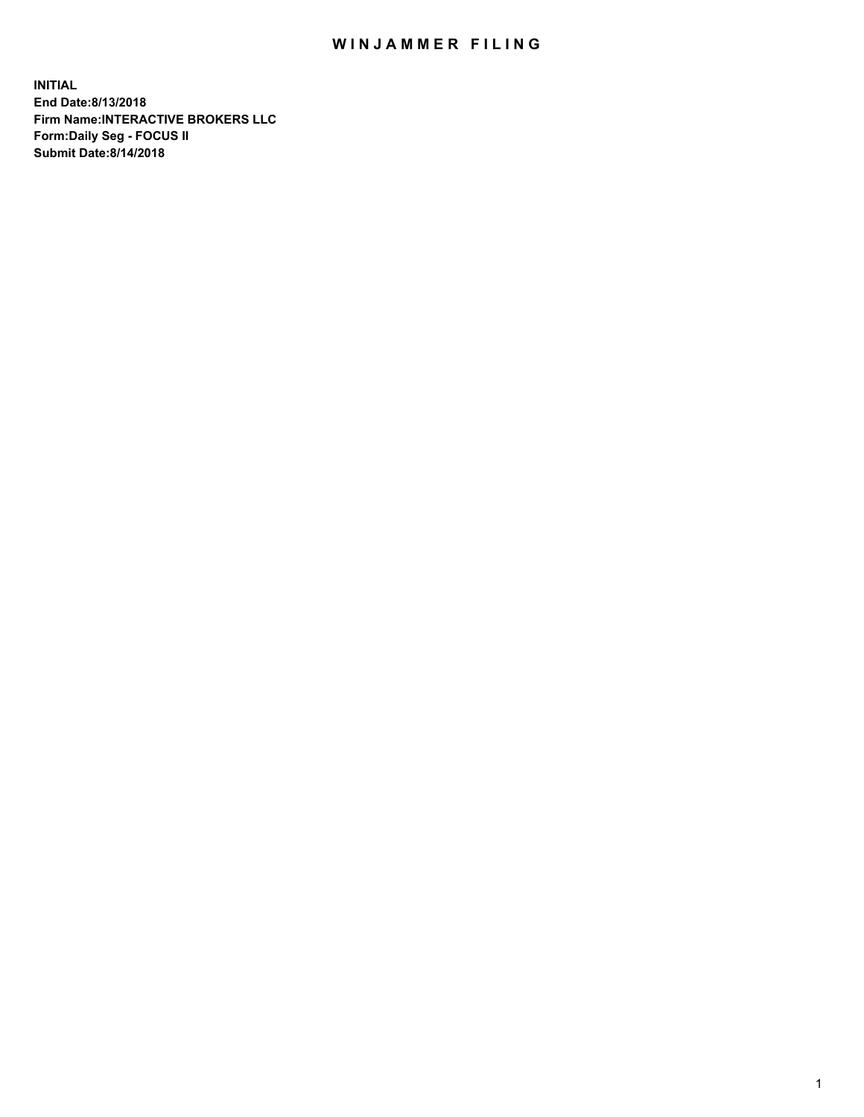## WIN JAMMER FILING

**INITIAL End Date:8/13/2018 Firm Name:INTERACTIVE BROKERS LLC Form:Daily Seg - FOCUS II Submit Date:8/14/2018**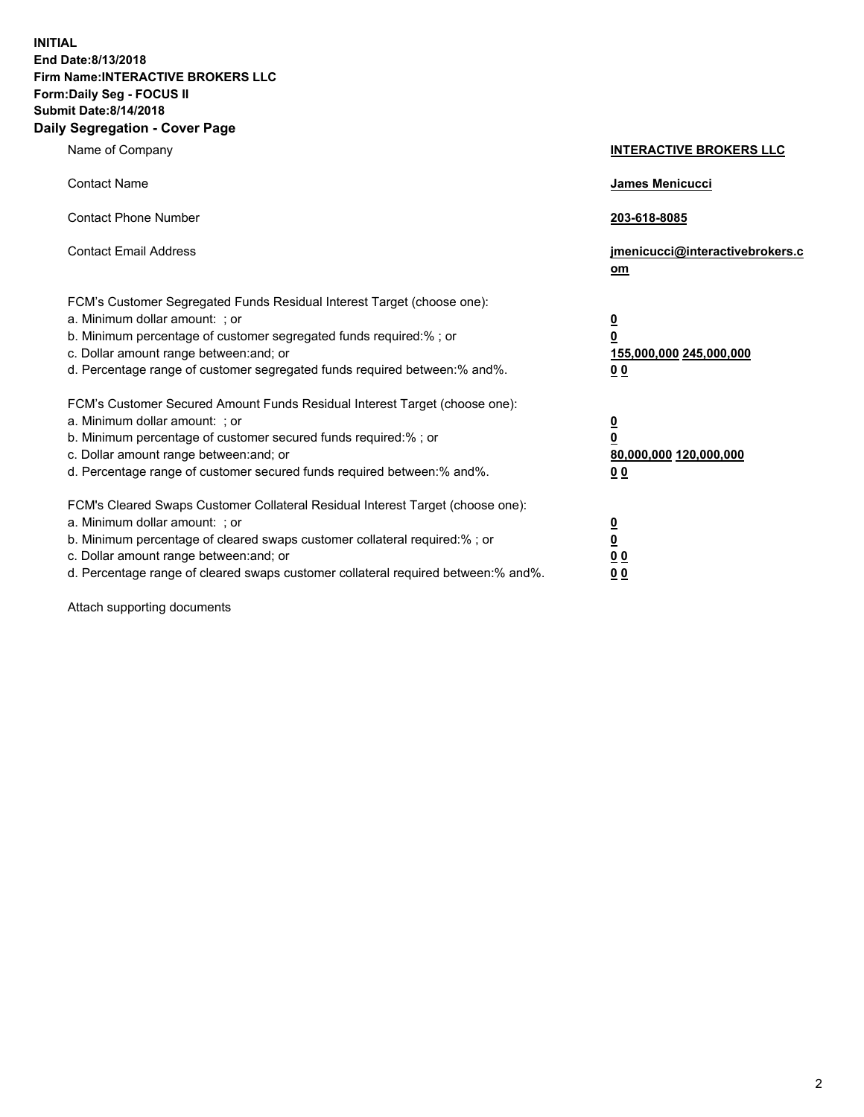**INITIAL End Date:8/13/2018 Firm Name:INTERACTIVE BROKERS LLC Form:Daily Seg - FOCUS II Submit Date:8/14/2018 Daily Segregation - Cover Page**

| Name of Company                                                                                                                                                                                                                                                                                                                | <b>INTERACTIVE BROKERS LLC</b>                                                                  |
|--------------------------------------------------------------------------------------------------------------------------------------------------------------------------------------------------------------------------------------------------------------------------------------------------------------------------------|-------------------------------------------------------------------------------------------------|
| <b>Contact Name</b>                                                                                                                                                                                                                                                                                                            | James Menicucci                                                                                 |
| <b>Contact Phone Number</b>                                                                                                                                                                                                                                                                                                    | 203-618-8085                                                                                    |
| <b>Contact Email Address</b>                                                                                                                                                                                                                                                                                                   | jmenicucci@interactivebrokers.c<br>om                                                           |
| FCM's Customer Segregated Funds Residual Interest Target (choose one):<br>a. Minimum dollar amount: ; or<br>b. Minimum percentage of customer segregated funds required:% ; or<br>c. Dollar amount range between: and; or<br>d. Percentage range of customer segregated funds required between:% and%.                         | $\overline{\mathbf{0}}$<br>$\overline{\mathbf{0}}$<br>155,000,000 245,000,000<br>0 <sub>0</sub> |
| FCM's Customer Secured Amount Funds Residual Interest Target (choose one):<br>a. Minimum dollar amount: ; or<br>b. Minimum percentage of customer secured funds required:% ; or<br>c. Dollar amount range between: and; or<br>d. Percentage range of customer secured funds required between:% and%.                           | $\overline{\mathbf{0}}$<br>0<br>80,000,000 120,000,000<br>0 <sub>0</sub>                        |
| FCM's Cleared Swaps Customer Collateral Residual Interest Target (choose one):<br>a. Minimum dollar amount: ; or<br>b. Minimum percentage of cleared swaps customer collateral required:% ; or<br>c. Dollar amount range between: and; or<br>d. Percentage range of cleared swaps customer collateral required between:% and%. | $\overline{\mathbf{0}}$<br><u>0</u><br>$\underline{0}$ $\underline{0}$<br>00                    |

Attach supporting documents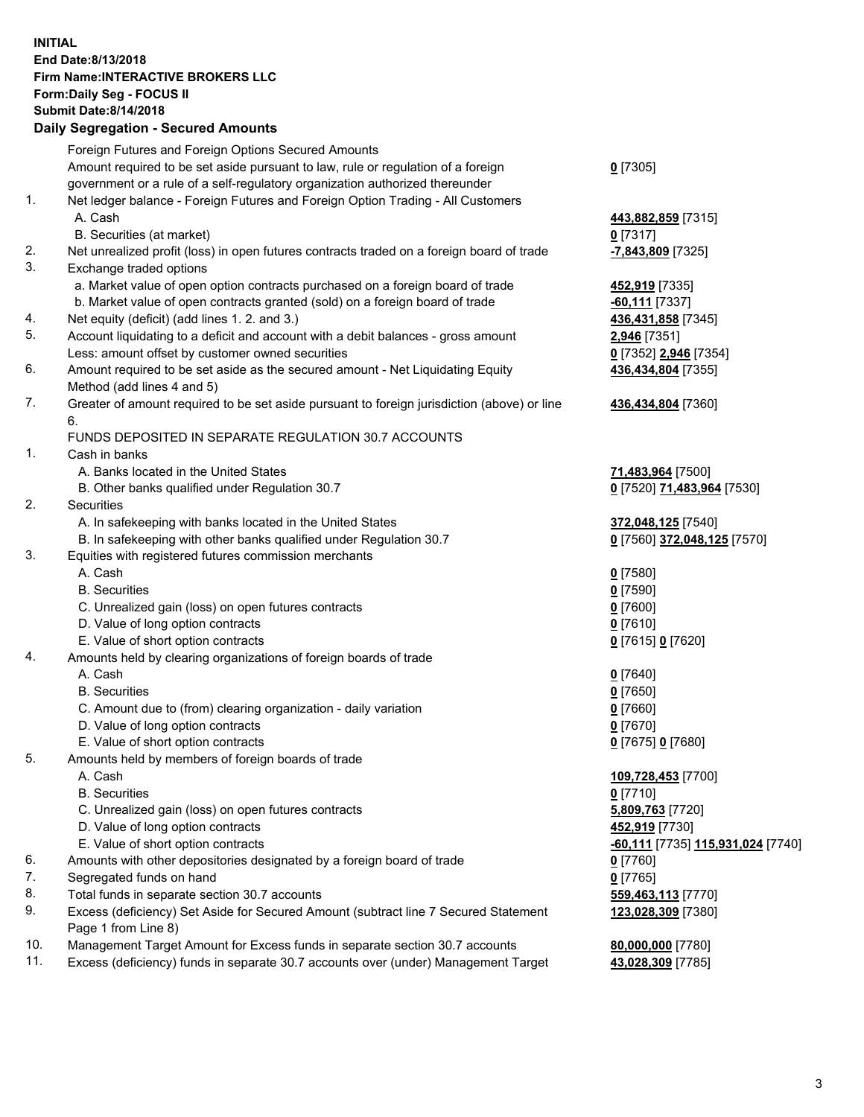## **INITIAL End Date:8/13/2018 Firm Name:INTERACTIVE BROKERS LLC Form:Daily Seg - FOCUS II Submit Date:8/14/2018 Daily Segregation - Secured Amounts**

|     | Daily Segregation - Secured Amounts                                                               |                                                 |
|-----|---------------------------------------------------------------------------------------------------|-------------------------------------------------|
|     | Foreign Futures and Foreign Options Secured Amounts                                               |                                                 |
|     | Amount required to be set aside pursuant to law, rule or regulation of a foreign                  | $0$ [7305]                                      |
|     | government or a rule of a self-regulatory organization authorized thereunder                      |                                                 |
| 1.  | Net ledger balance - Foreign Futures and Foreign Option Trading - All Customers                   |                                                 |
|     | A. Cash                                                                                           | 443,882,859 [7315]                              |
|     | B. Securities (at market)                                                                         | $0$ [7317]                                      |
| 2.  | Net unrealized profit (loss) in open futures contracts traded on a foreign board of trade         | -7,843,809 [7325]                               |
| 3.  | Exchange traded options                                                                           |                                                 |
|     | a. Market value of open option contracts purchased on a foreign board of trade                    | 452,919 [7335]                                  |
|     | b. Market value of open contracts granted (sold) on a foreign board of trade                      | -60,111 [7337]                                  |
| 4.  | Net equity (deficit) (add lines 1. 2. and 3.)                                                     | 436,431,858 [7345]                              |
| 5.  | Account liquidating to a deficit and account with a debit balances - gross amount                 | 2,946 [7351]                                    |
|     | Less: amount offset by customer owned securities                                                  | 0 [7352] 2,946 [7354]                           |
| 6.  | Amount required to be set aside as the secured amount - Net Liquidating Equity                    | 436,434,804 [7355]                              |
|     | Method (add lines 4 and 5)                                                                        |                                                 |
| 7.  | Greater of amount required to be set aside pursuant to foreign jurisdiction (above) or line<br>6. | 436,434,804 [7360]                              |
|     | FUNDS DEPOSITED IN SEPARATE REGULATION 30.7 ACCOUNTS                                              |                                                 |
| 1.  | Cash in banks                                                                                     |                                                 |
|     | A. Banks located in the United States                                                             | 71,483,964 [7500]                               |
|     | B. Other banks qualified under Regulation 30.7                                                    | 0 [7520] 71,483,964 [7530]                      |
| 2.  | Securities                                                                                        |                                                 |
|     | A. In safekeeping with banks located in the United States                                         | 372,048,125 [7540]                              |
|     | B. In safekeeping with other banks qualified under Regulation 30.7                                | 0 [7560] 372,048,125 [7570]                     |
| 3.  | Equities with registered futures commission merchants                                             |                                                 |
|     | A. Cash                                                                                           | $0$ [7580]                                      |
|     | <b>B.</b> Securities                                                                              | $0$ [7590]                                      |
|     | C. Unrealized gain (loss) on open futures contracts                                               | $0$ [7600]                                      |
|     | D. Value of long option contracts                                                                 | $0$ [7610]                                      |
|     | E. Value of short option contracts                                                                | 0 [7615] 0 [7620]                               |
| 4.  | Amounts held by clearing organizations of foreign boards of trade                                 |                                                 |
|     | A. Cash                                                                                           | $0$ [7640]                                      |
|     | <b>B.</b> Securities                                                                              | $0$ [7650]                                      |
|     | C. Amount due to (from) clearing organization - daily variation                                   | $0$ [7660]                                      |
|     | D. Value of long option contracts<br>E. Value of short option contracts                           | $0$ [7670]                                      |
| 5.  | Amounts held by members of foreign boards of trade                                                | 0 [7675] 0 [7680]                               |
|     | A. Cash                                                                                           | 109,728,453 [7700]                              |
|     | <b>B.</b> Securities                                                                              | $0$ [7710]                                      |
|     | C. Unrealized gain (loss) on open futures contracts                                               | 5,809,763 [7720]                                |
|     | D. Value of long option contracts                                                                 | 452,919 [7730]                                  |
|     | E. Value of short option contracts                                                                | <u>-60,111</u> [7735] <u>115,931,024</u> [7740] |
| 6.  | Amounts with other depositories designated by a foreign board of trade                            | 0 [7760]                                        |
| 7.  | Segregated funds on hand                                                                          | $0$ [7765]                                      |
| 8.  | Total funds in separate section 30.7 accounts                                                     | 559,463,113 [7770]                              |
| 9.  | Excess (deficiency) Set Aside for Secured Amount (subtract line 7 Secured Statement               | 123,028,309 [7380]                              |
|     | Page 1 from Line 8)                                                                               |                                                 |
| 10. | Management Target Amount for Excess funds in separate section 30.7 accounts                       | 80,000,000 [7780]                               |
| 11. | Excess (deficiency) funds in separate 30.7 accounts over (under) Management Target                | 43,028,309 [7785]                               |
|     |                                                                                                   |                                                 |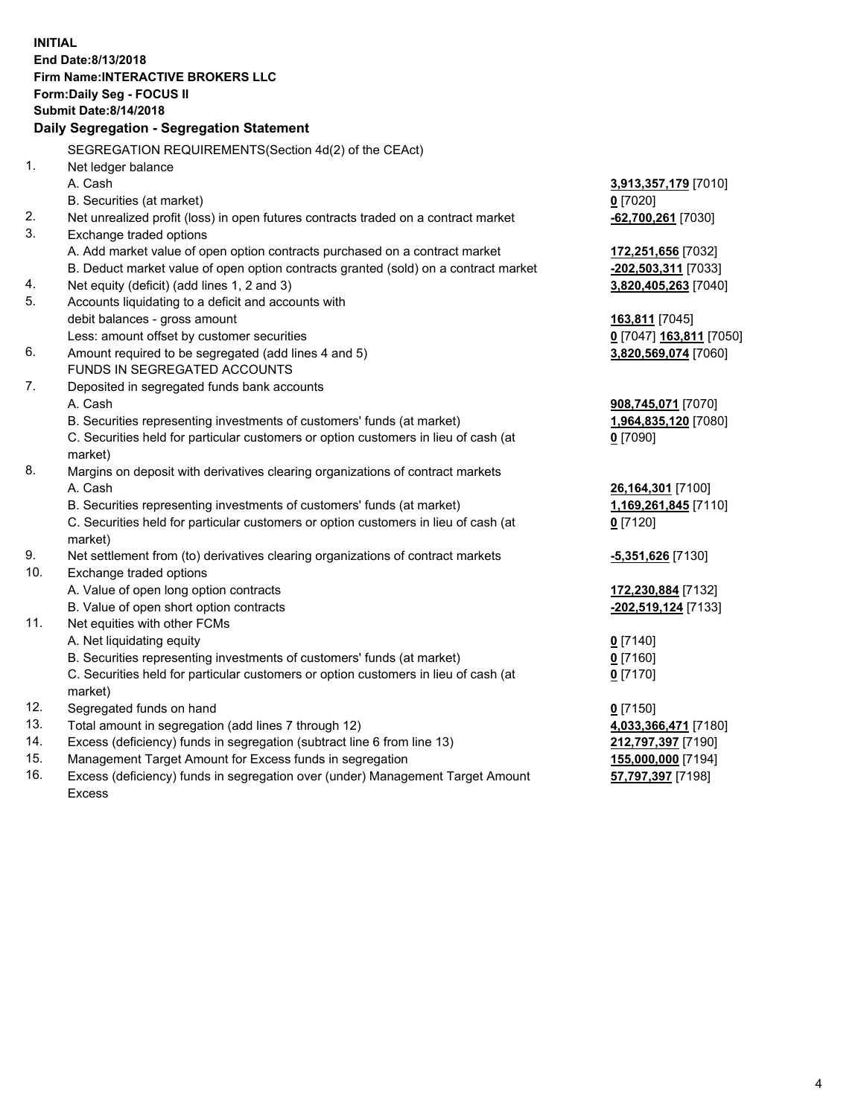**INITIAL End Date:8/13/2018 Firm Name:INTERACTIVE BROKERS LLC Form:Daily Seg - FOCUS II Submit Date:8/14/2018 Daily Segregation - Segregation Statement** SEGREGATION REQUIREMENTS(Section 4d(2) of the CEAct) 1. Net ledger balance A. Cash **3,913,357,179** [7010] B. Securities (at market) **0** [7020] 2. Net unrealized profit (loss) in open futures contracts traded on a contract market **-62,700,261** [7030] 3. Exchange traded options A. Add market value of open option contracts purchased on a contract market **172,251,656** [7032] B. Deduct market value of open option contracts granted (sold) on a contract market **-202,503,311** [7033] 4. Net equity (deficit) (add lines 1, 2 and 3) **3,820,405,263** [7040] 5. Accounts liquidating to a deficit and accounts with debit balances - gross amount **163,811** [7045] Less: amount offset by customer securities **0** [7047] **163,811** [7050] 6. Amount required to be segregated (add lines 4 and 5) **3,820,569,074** [7060] FUNDS IN SEGREGATED ACCOUNTS 7. Deposited in segregated funds bank accounts A. Cash **908,745,071** [7070] B. Securities representing investments of customers' funds (at market) **1,964,835,120** [7080] C. Securities held for particular customers or option customers in lieu of cash (at market) **0** [7090] 8. Margins on deposit with derivatives clearing organizations of contract markets A. Cash **26,164,301** [7100] B. Securities representing investments of customers' funds (at market) **1,169,261,845** [7110] C. Securities held for particular customers or option customers in lieu of cash (at market) **0** [7120] 9. Net settlement from (to) derivatives clearing organizations of contract markets **-5,351,626** [7130] 10. Exchange traded options A. Value of open long option contracts **172,230,884** [7132] B. Value of open short option contracts **-202,519,124** [7133] 11. Net equities with other FCMs A. Net liquidating equity **0** [7140] B. Securities representing investments of customers' funds (at market) **0** [7160] C. Securities held for particular customers or option customers in lieu of cash (at market) **0** [7170] 12. Segregated funds on hand **0** [7150] 13. Total amount in segregation (add lines 7 through 12) **4,033,366,471** [7180] 14. Excess (deficiency) funds in segregation (subtract line 6 from line 13) **212,797,397** [7190] 15. Management Target Amount for Excess funds in segregation **155,000,000** [7194] **57,797,397** [7198]

16. Excess (deficiency) funds in segregation over (under) Management Target Amount Excess